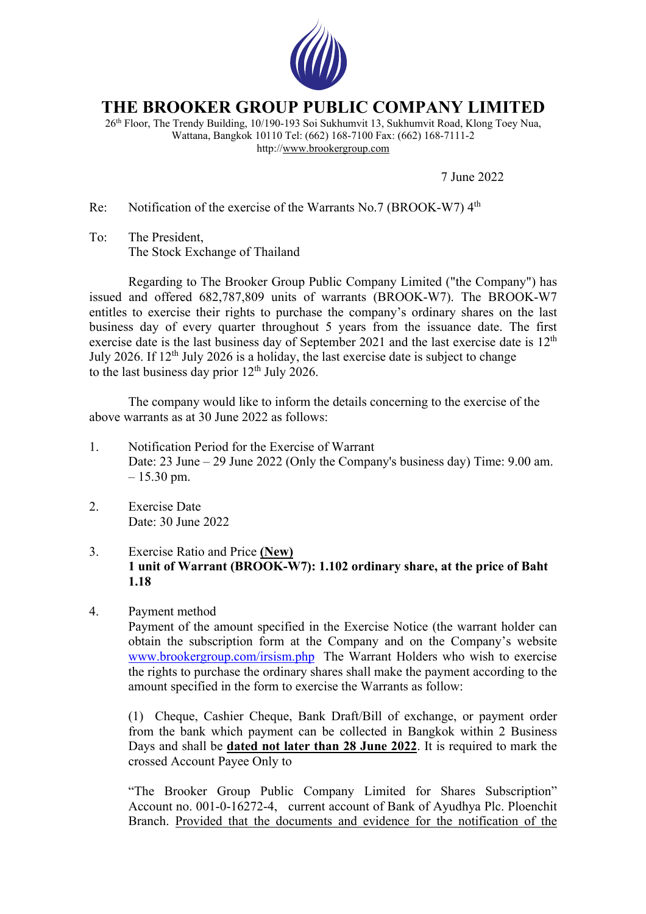

## **THE BROOKER GROUP PUBLIC COMPANY LIMITED**

26th Floor, The Trendy Building, 10/190-193 Soi Sukhumvit 13, Sukhumvit Road, Klong Toey Nua, Wattana, Bangkok 10110 Tel: (662) 168-7100 Fax: (662) 168-7111-2 http://www.brookergroup.com

7 June 2022

Re: Notification of the exercise of the Warrants No.7 (BROOK-W7) 4<sup>th</sup>

To: The President, The Stock Exchange of Thailand

Regarding to The Brooker Group Public Company Limited ("the Company") has issued and offered 682,787,809 units of warrants (BROOK-W7). The BROOK-W7 entitles to exercise their rights to purchase the company's ordinary shares on the last business day of every quarter throughout 5 years from the issuance date. The first exercise date is the last business day of September 2021 and the last exercise date is 12<sup>th</sup> July 2026. If  $12<sup>th</sup>$  July 2026 is a holiday, the last exercise date is subject to change to the last business day prior  $12<sup>th</sup>$  July 2026.

The company would like to inform the details concerning to the exercise of the above warrants as at 30 June 2022 as follows:

- 1. Notification Period for the Exercise of Warrant Date: 23 June – 29 June 2022 (Only the Company's business day) Time: 9.00 am.  $-15.30$  pm.
- 2. Exercise Date Date: 30 June 2022

## 3. Exercise Ratio and Price **(New) 1 unit of Warrant (BROOK-W7): 1.102 ordinary share, at the price of Baht 1.18**

4. Payment method

Payment of the amount specified in the Exercise Notice (the warrant holder can obtain the subscription form at the Company and on the Company's website www.brookergroup.com/irsism.php The Warrant Holders who wish to exercise the rights to purchase the ordinary shares shall make the payment according to the amount specified in the form to exercise the Warrants as follow:

(1) Cheque, Cashier Cheque, Bank Draft/Bill of exchange, or payment order from the bank which payment can be collected in Bangkok within 2 Business Days and shall be **dated not later than 28 June 2022**. It is required to mark the crossed Account Payee Only to

"The Brooker Group Public Company Limited for Shares Subscription" Account no. 001-0-16272-4, current account of Bank of Ayudhya Plc. Ploenchit Branch. Provided that the documents and evidence for the notification of the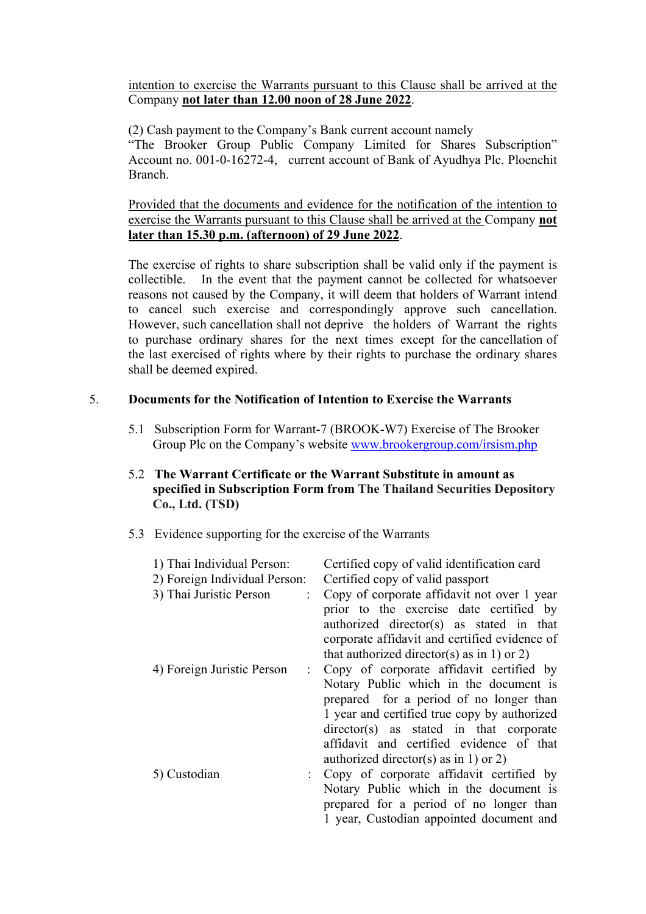intention to exercise the Warrants pursuant to this Clause shall be arrived at the Company **not later than 12.00 noon of 28 June 2022**.

(2) Cash payment to the Company's Bank current account namely

"The Brooker Group Public Company Limited for Shares Subscription" Account no. 001-0-16272-4, current account of Bank of Ayudhya Plc. Ploenchit Branch.

Provided that the documents and evidence for the notification of the intention to exercise the Warrants pursuant to this Clause shall be arrived at the Company **not later than 15.30 p.m. (afternoon) of 29 June 2022**.

The exercise of rights to share subscription shall be valid only if the payment is collectible. In the event that the payment cannot be collected for whatsoever reasons not caused by the Company, it will deem that holders of Warrant intend to cancel such exercise and correspondingly approve such cancellation. However, such cancellation shall not deprive the holders of Warrant the rights to purchase ordinary shares for the next times except for the cancellation of the last exercised of rights where by their rights to purchase the ordinary shares shall be deemed expired.

## 5. **Documents for the Notification of Intention to Exercise the Warrants**

- 5.1 Subscription Form for Warrant-7 (BROOK-W7) Exercise of The Brooker Group Plc on the Company's website www.brookergroup.com/irsism.php
- 5.2 **The Warrant Certificate or the Warrant Substitute in amount as specified in Subscription Form from The Thailand Securities Depository Co., Ltd. (TSD)**
- 5.3 Evidence supporting for the exercise of the Warrants

| 1) Thai Individual Person:<br>2) Foreign Individual Person: | Certified copy of valid identification card<br>Certified copy of valid passport                                                                                                                                                                                         |
|-------------------------------------------------------------|-------------------------------------------------------------------------------------------------------------------------------------------------------------------------------------------------------------------------------------------------------------------------|
| 3) Thai Juristic Person                                     | Copy of corporate affidavit not over 1 year<br>prior to the exercise date certified by<br>authorized director(s) as stated in that<br>corporate affidavit and certified evidence of<br>that authorized director(s) as in 1) or 2)                                       |
| 4) Foreign Juristic Person<br>$\mathbb{R}^{\mathbb{Z}}$     | Copy of corporate affidavit certified by<br>Notary Public which in the document is<br>prepared for a period of no longer than<br>1 year and certified true copy by authorized<br>$directory(s)$ as stated in that corporate<br>affidavit and certified evidence of that |
| 5) Custodian                                                | authorized director(s) as in 1) or 2)<br>: Copy of corporate affidavit certified by<br>Notary Public which in the document is<br>prepared for a period of no longer than<br>1 year, Custodian appointed document and                                                    |